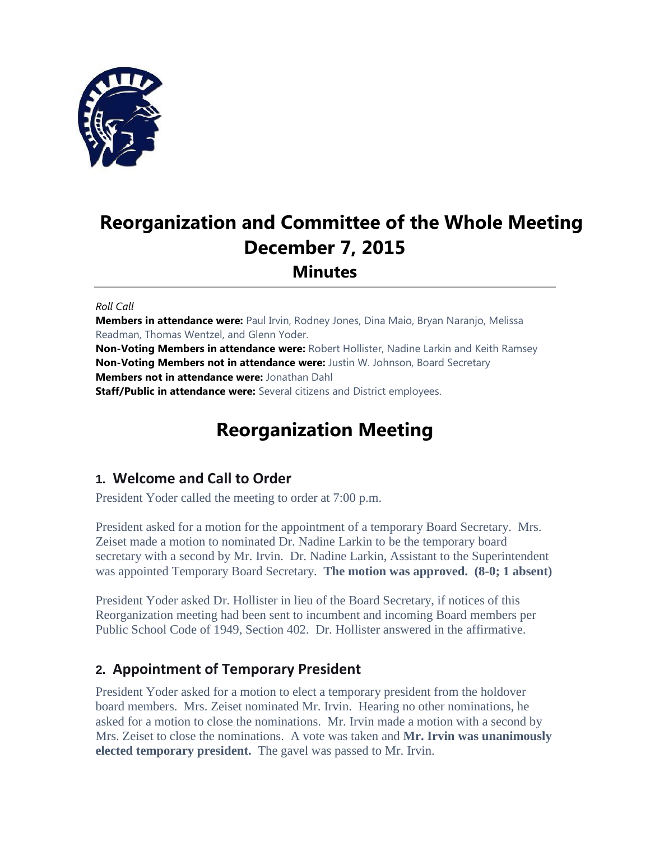

# **Reorganization and Committee of the Whole Meeting December 7, 2015 Minutes**

#### *Roll Call*

**Members in attendance were:** Paul Irvin, Rodney Jones, Dina Maio, Bryan Naranjo, Melissa Readman, Thomas Wentzel, and Glenn Yoder.

**Non-Voting Members in attendance were:** Robert Hollister, Nadine Larkin and Keith Ramsey **Non-Voting Members not in attendance were:** Justin W. Johnson, Board Secretary **Members not in attendance were:** Jonathan Dahl **Staff/Public in attendance were:** Several citizens and District employees.

# **Reorganization Meeting**

## **1. Welcome and Call to Order**

President Yoder called the meeting to order at 7:00 p.m.

President asked for a motion for the appointment of a temporary Board Secretary. Mrs. Zeiset made a motion to nominated Dr. Nadine Larkin to be the temporary board secretary with a second by Mr. Irvin. Dr. Nadine Larkin, Assistant to the Superintendent was appointed Temporary Board Secretary. **The motion was approved. (8-0; 1 absent)**

President Yoder asked Dr. Hollister in lieu of the Board Secretary, if notices of this Reorganization meeting had been sent to incumbent and incoming Board members per Public School Code of 1949, Section 402. Dr. Hollister answered in the affirmative.

## **2. Appointment of Temporary President**

President Yoder asked for a motion to elect a temporary president from the holdover board members. Mrs. Zeiset nominated Mr. Irvin. Hearing no other nominations, he asked for a motion to close the nominations. Mr. Irvin made a motion with a second by Mrs. Zeiset to close the nominations. A vote was taken and **Mr. Irvin was unanimously elected temporary president.** The gavel was passed to Mr. Irvin.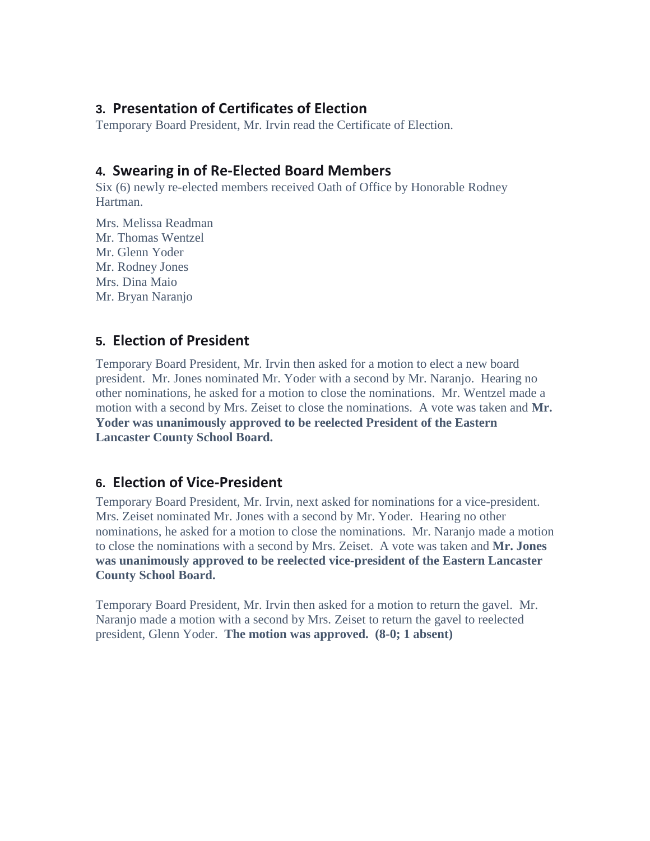### **3. Presentation of Certificates of Election**

Temporary Board President, Mr. Irvin read the Certificate of Election.

## **4. Swearing in of Re-Elected Board Members**

Six (6) newly re-elected members received Oath of Office by Honorable Rodney Hartman.

Mrs. Melissa Readman Mr. Thomas Wentzel Mr. Glenn Yoder Mr. Rodney Jones Mrs. Dina Maio Mr. Bryan Naranjo

# **5. Election of President**

Temporary Board President, Mr. Irvin then asked for a motion to elect a new board president. Mr. Jones nominated Mr. Yoder with a second by Mr. Naranjo. Hearing no other nominations, he asked for a motion to close the nominations. Mr. Wentzel made a motion with a second by Mrs. Zeiset to close the nominations. A vote was taken and **Mr. Yoder was unanimously approved to be reelected President of the Eastern Lancaster County School Board.** 

# **6. Election of Vice-President**

Temporary Board President, Mr. Irvin, next asked for nominations for a vice-president. Mrs. Zeiset nominated Mr. Jones with a second by Mr. Yoder. Hearing no other nominations, he asked for a motion to close the nominations. Mr. Naranjo made a motion to close the nominations with a second by Mrs. Zeiset. A vote was taken and **Mr. Jones was unanimously approved to be reelected vice-president of the Eastern Lancaster County School Board.**

Temporary Board President, Mr. Irvin then asked for a motion to return the gavel. Mr. Naranjo made a motion with a second by Mrs. Zeiset to return the gavel to reelected president, Glenn Yoder. **The motion was approved. (8-0; 1 absent)**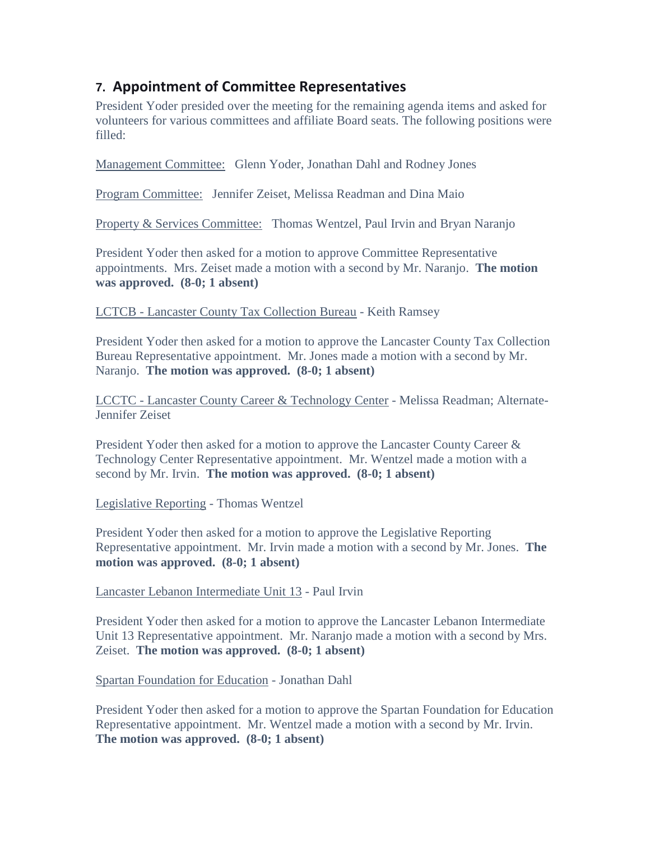# **7. Appointment of Committee Representatives**

President Yoder presided over the meeting for the remaining agenda items and asked for volunteers for various committees and affiliate Board seats. The following positions were filled:

Management Committee: Glenn Yoder, Jonathan Dahl and Rodney Jones

Program Committee: Jennifer Zeiset, Melissa Readman and Dina Maio

Property & Services Committee: Thomas Wentzel, Paul Irvin and Bryan Naranjo

President Yoder then asked for a motion to approve Committee Representative appointments. Mrs. Zeiset made a motion with a second by Mr. Naranjo. **The motion was approved. (8-0; 1 absent)**

LCTCB - Lancaster County Tax Collection Bureau - Keith Ramsey

President Yoder then asked for a motion to approve the Lancaster County Tax Collection Bureau Representative appointment. Mr. Jones made a motion with a second by Mr. Naranjo. **The motion was approved. (8-0; 1 absent)**

LCCTC - Lancaster County Career & Technology Center - Melissa Readman; Alternate-Jennifer Zeiset

President Yoder then asked for a motion to approve the Lancaster County Career & Technology Center Representative appointment. Mr. Wentzel made a motion with a second by Mr. Irvin. **The motion was approved. (8-0; 1 absent)**

Legislative Reporting - Thomas Wentzel

President Yoder then asked for a motion to approve the Legislative Reporting Representative appointment. Mr. Irvin made a motion with a second by Mr. Jones. **The motion was approved. (8-0; 1 absent)**

Lancaster Lebanon Intermediate Unit 13 - Paul Irvin

President Yoder then asked for a motion to approve the Lancaster Lebanon Intermediate Unit 13 Representative appointment. Mr. Naranjo made a motion with a second by Mrs. Zeiset. **The motion was approved. (8-0; 1 absent)**

Spartan Foundation for Education - Jonathan Dahl

President Yoder then asked for a motion to approve the Spartan Foundation for Education Representative appointment. Mr. Wentzel made a motion with a second by Mr. Irvin. **The motion was approved. (8-0; 1 absent)**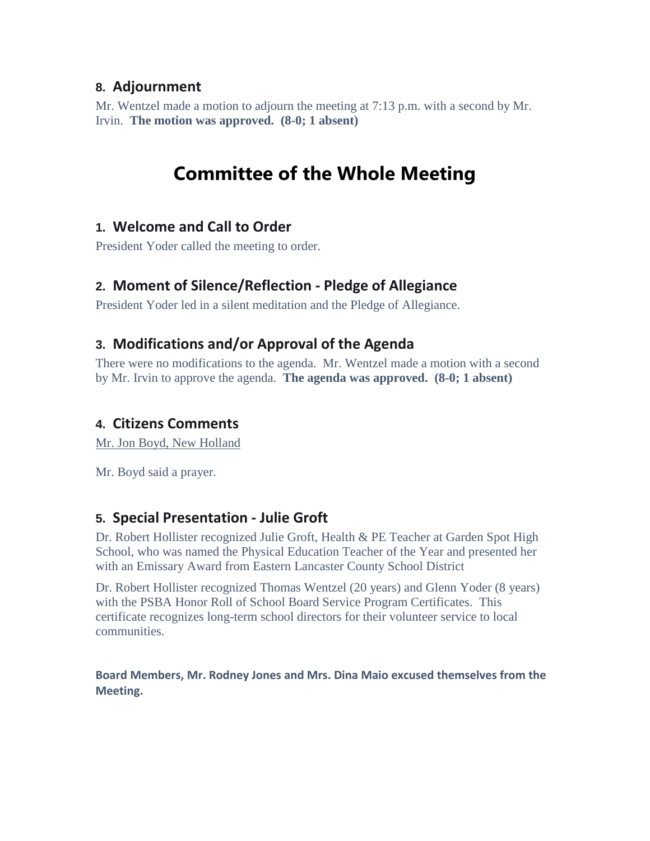## **8. Adjournment**

Mr. Wentzel made a motion to adjourn the meeting at 7:13 p.m. with a second by Mr. Irvin. **The motion was approved. (8-0; 1 absent)**

# **Committee of the Whole Meeting**

## **1. Welcome and Call to Order**

President Yoder called the meeting to order.

# **2. Moment of Silence/Reflection - Pledge of Allegiance**

President Yoder led in a silent meditation and the Pledge of Allegiance.

# **3. Modifications and/or Approval of the Agenda**

There were no modifications to the agenda. Mr. Wentzel made a motion with a second by Mr. Irvin to approve the agenda. **The agenda was approved. (8-0; 1 absent)**

## **4. Citizens Comments**

Mr. Jon Boyd, New Holland

Mr. Boyd said a prayer.

## **5. Special Presentation - Julie Groft**

Dr. Robert Hollister recognized Julie Groft, Health & PE Teacher at Garden Spot High School, who was named the Physical Education Teacher of the Year and presented her with an Emissary Award from Eastern Lancaster County School District

Dr. Robert Hollister recognized Thomas Wentzel (20 years) and Glenn Yoder (8 years) with the PSBA Honor Roll of School Board Service Program Certificates. This certificate recognizes long-term school directors for their volunteer service to local communities.

**Board Members, Mr. Rodney Jones and Mrs. Dina Maio excused themselves from the Meeting.**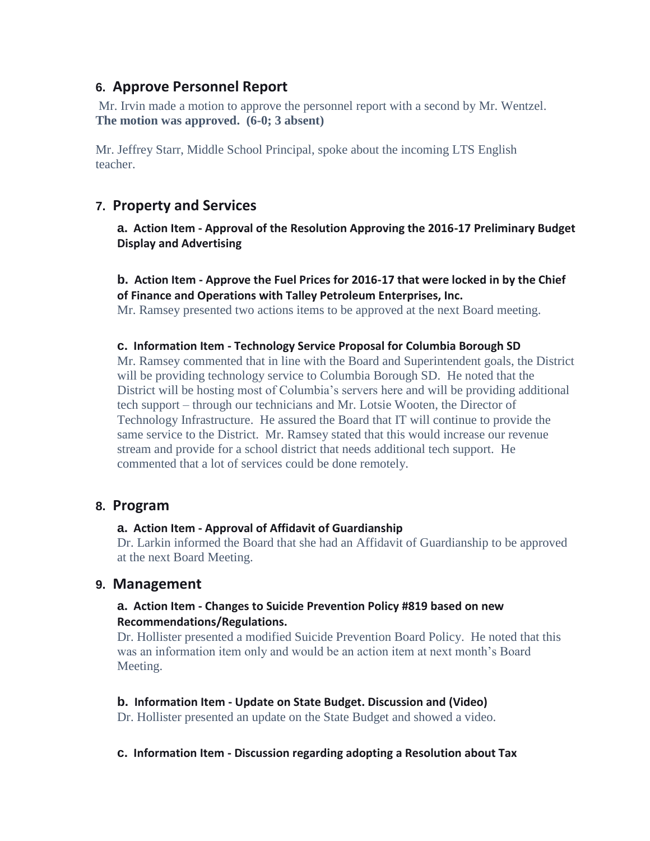## **6. Approve Personnel Report**

Mr. Irvin made a motion to approve the personnel report with a second by Mr. Wentzel. **The motion was approved. (6-0; 3 absent)** 

Mr. Jeffrey Starr, Middle School Principal, spoke about the incoming LTS English teacher.

## **7. Property and Services**

**a. Action Item - Approval of the Resolution Approving the 2016-17 Preliminary Budget Display and Advertising**

#### **b. Action Item - Approve the Fuel Prices for 2016-17 that were locked in by the Chief of Finance and Operations with Talley Petroleum Enterprises, Inc.**

Mr. Ramsey presented two actions items to be approved at the next Board meeting.

#### **c. Information Item - Technology Service Proposal for Columbia Borough SD**

Mr. Ramsey commented that in line with the Board and Superintendent goals, the District will be providing technology service to Columbia Borough SD. He noted that the District will be hosting most of Columbia's servers here and will be providing additional tech support – through our technicians and Mr. Lotsie Wooten, the Director of Technology Infrastructure. He assured the Board that IT will continue to provide the same service to the District. Mr. Ramsey stated that this would increase our revenue stream and provide for a school district that needs additional tech support. He commented that a lot of services could be done remotely.

#### **8. Program**

#### **a. Action Item - Approval of Affidavit of Guardianship**

Dr. Larkin informed the Board that she had an Affidavit of Guardianship to be approved at the next Board Meeting.

#### **9. Management**

#### **a. Action Item - Changes to Suicide Prevention Policy #819 based on new Recommendations/Regulations.**

Dr. Hollister presented a modified Suicide Prevention Board Policy. He noted that this was an information item only and would be an action item at next month's Board Meeting.

#### **b. Information Item - Update on State Budget. Discussion and (Video)**

Dr. Hollister presented an update on the State Budget and showed a video.

#### **c. Information Item - Discussion regarding adopting a Resolution about Tax**